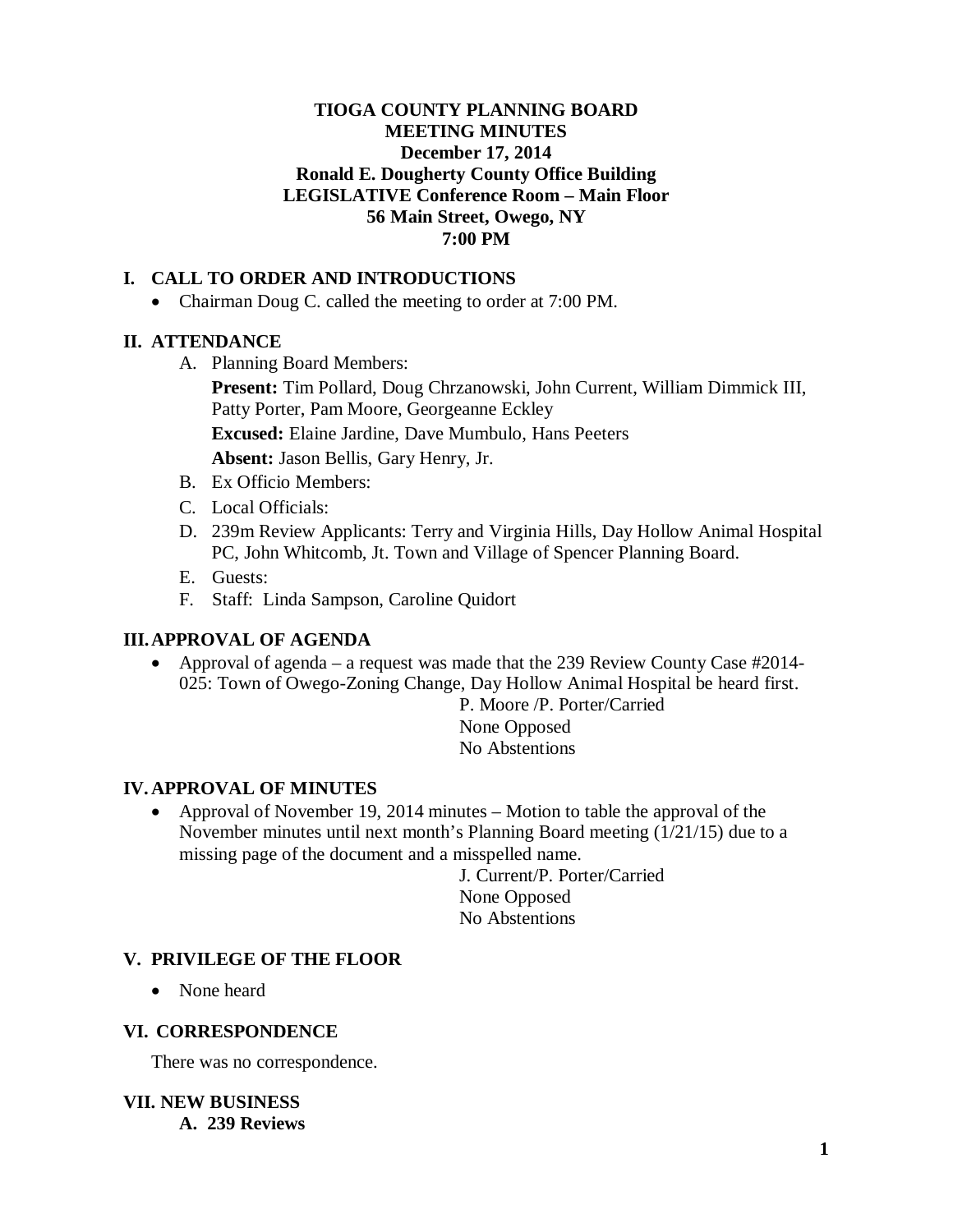### **TIOGA COUNTY PLANNING BOARD MEETING MINUTES December 17, 2014 Ronald E. Dougherty County Office Building LEGISLATIVE Conference Room – Main Floor 56 Main Street, Owego, NY 7:00 PM**

## **I. CALL TO ORDER AND INTRODUCTIONS**

• Chairman Doug C. called the meeting to order at 7:00 PM.

#### **II. ATTENDANCE**

A. Planning Board Members:

**Present:** Tim Pollard, Doug Chrzanowski, John Current, William Dimmick III, Patty Porter, Pam Moore, Georgeanne Eckley **Excused:** Elaine Jardine, Dave Mumbulo, Hans Peeters **Absent:** Jason Bellis, Gary Henry, Jr.

- B. Ex Officio Members:
- C. Local Officials:
- D. 239m Review Applicants: Terry and Virginia Hills, Day Hollow Animal Hospital PC, John Whitcomb, Jt. Town and Village of Spencer Planning Board.
- E. Guests:
- F. Staff: Linda Sampson, Caroline Quidort

### **III.APPROVAL OF AGENDA**

• Approval of agenda – a request was made that the 239 Review County Case #2014-025: Town of Owego-Zoning Change, Day Hollow Animal Hospital be heard first.

P. Moore /P. Porter/Carried None Opposed No Abstentions

#### **IV. APPROVAL OF MINUTES**

• Approval of November 19, 2014 minutes – Motion to table the approval of the November minutes until next month's Planning Board meeting (1/21/15) due to a missing page of the document and a misspelled name.

> J. Current/P. Porter/Carried None Opposed No Abstentions

#### **V. PRIVILEGE OF THE FLOOR**

• None heard

#### **VI. CORRESPONDENCE**

There was no correspondence.

**VII. NEW BUSINESS A. 239 Reviews**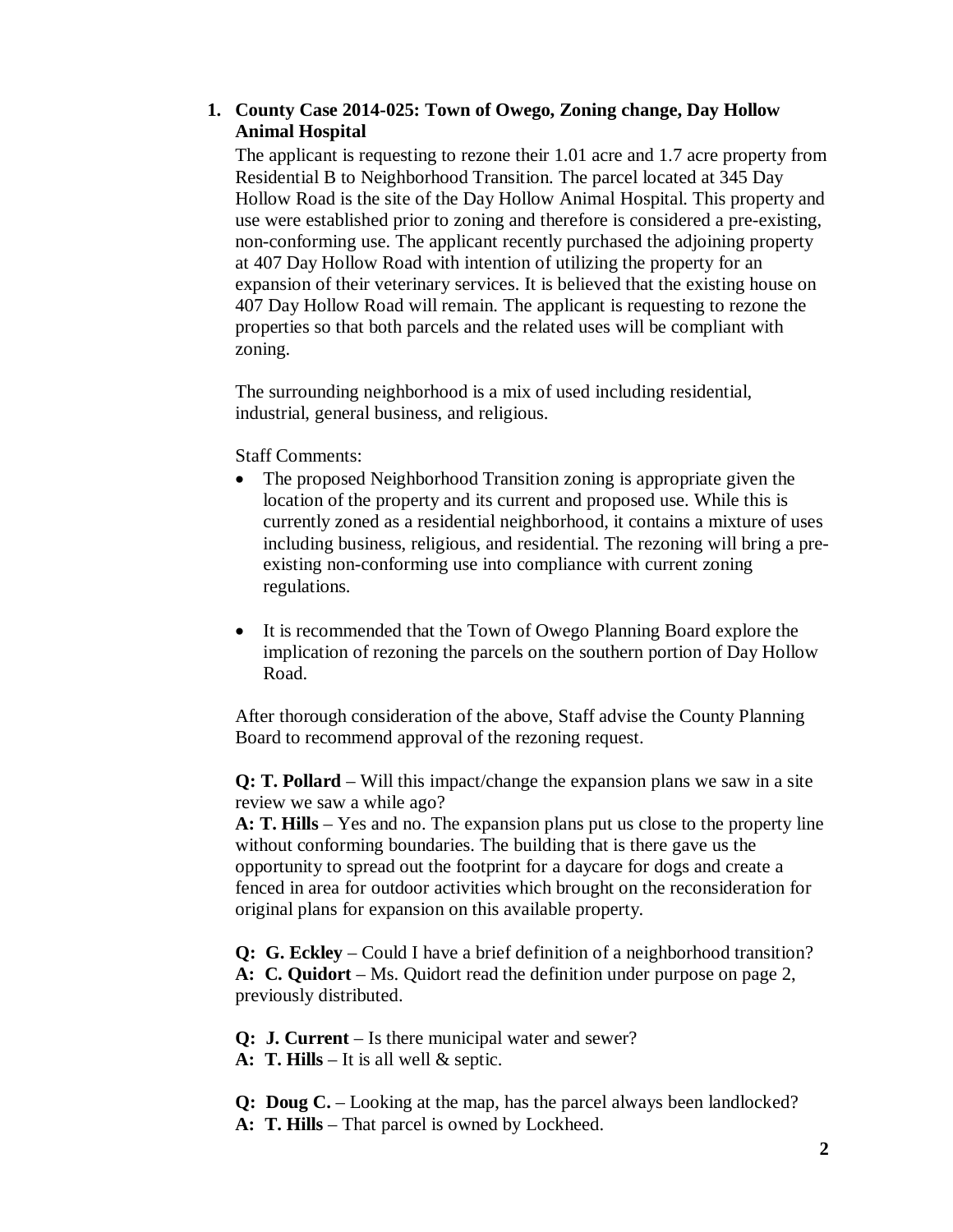#### **1. County Case 2014-025: Town of Owego, Zoning change, Day Hollow Animal Hospital**

The applicant is requesting to rezone their 1.01 acre and 1.7 acre property from Residential B to Neighborhood Transition. The parcel located at 345 Day Hollow Road is the site of the Day Hollow Animal Hospital. This property and use were established prior to zoning and therefore is considered a pre-existing, non-conforming use. The applicant recently purchased the adjoining property at 407 Day Hollow Road with intention of utilizing the property for an expansion of their veterinary services. It is believed that the existing house on 407 Day Hollow Road will remain. The applicant is requesting to rezone the properties so that both parcels and the related uses will be compliant with zoning.

The surrounding neighborhood is a mix of used including residential, industrial, general business, and religious.

### Staff Comments:

- The proposed Neighborhood Transition zoning is appropriate given the location of the property and its current and proposed use. While this is currently zoned as a residential neighborhood, it contains a mixture of uses including business, religious, and residential. The rezoning will bring a preexisting non-conforming use into compliance with current zoning regulations.
- It is recommended that the Town of Owego Planning Board explore the implication of rezoning the parcels on the southern portion of Day Hollow Road.

After thorough consideration of the above, Staff advise the County Planning Board to recommend approval of the rezoning request.

**Q: T. Pollard** – Will this impact/change the expansion plans we saw in a site review we saw a while ago?

**A: T. Hills** – Yes and no. The expansion plans put us close to the property line without conforming boundaries. The building that is there gave us the opportunity to spread out the footprint for a daycare for dogs and create a fenced in area for outdoor activities which brought on the reconsideration for original plans for expansion on this available property.

**Q: G. Eckley** – Could I have a brief definition of a neighborhood transition? **A: C. Quidort** – Ms. Quidort read the definition under purpose on page 2, previously distributed.

**Q: J. Current** – Is there municipal water and sewer?

**A: T. Hills** – It is all well & septic.

**Q: Doug C.** – Looking at the map, has the parcel always been landlocked? **A: T. Hills** – That parcel is owned by Lockheed.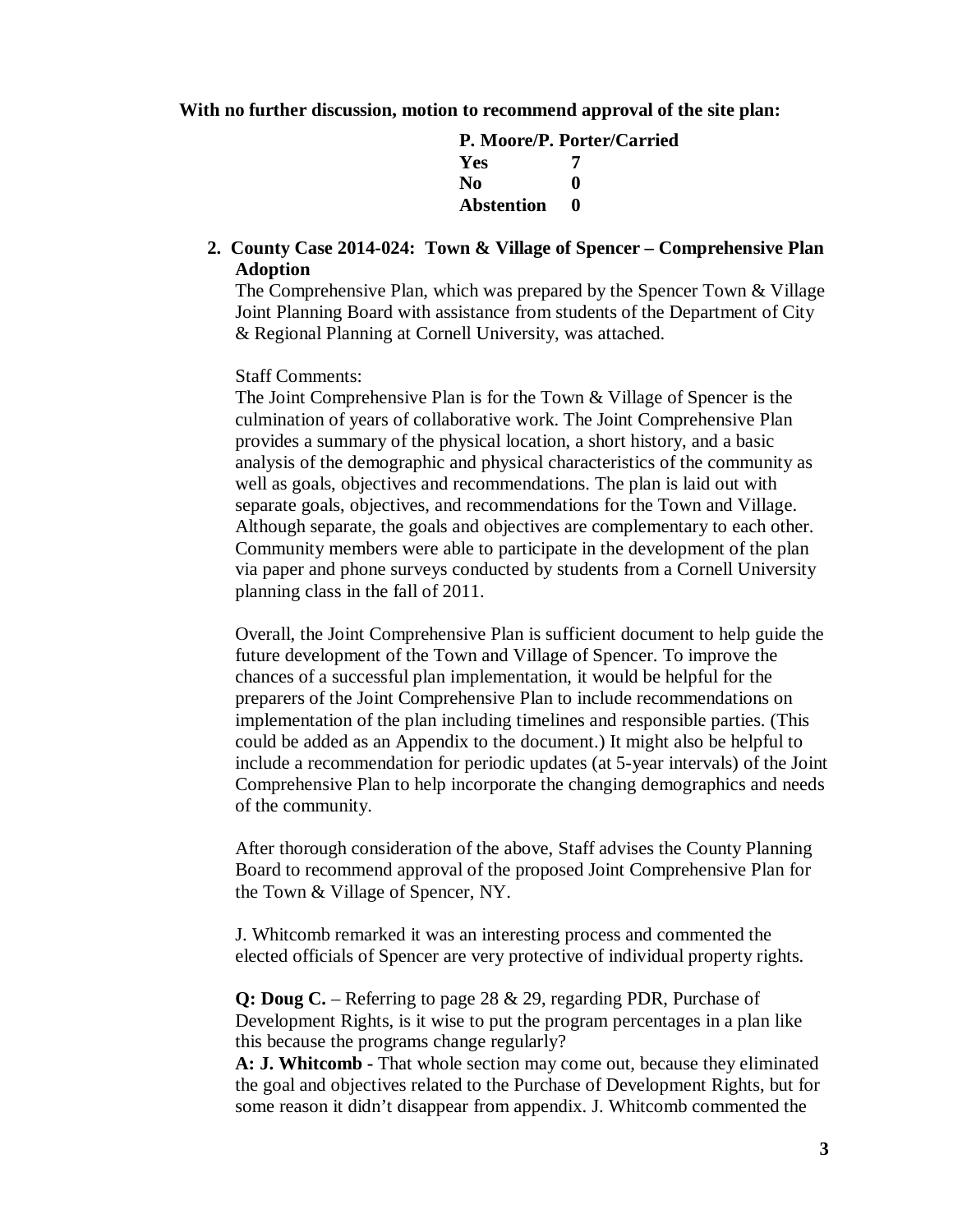#### **With no further discussion, motion to recommend approval of the site plan:**

**P. Moore/P. Porter/Carried Yes 7 No 0 Abstention 0**

**2. County Case 2014-024: Town & Village of Spencer – Comprehensive Plan Adoption**

The Comprehensive Plan, which was prepared by the Spencer Town & Village Joint Planning Board with assistance from students of the Department of City & Regional Planning at Cornell University, was attached.

#### Staff Comments:

The Joint Comprehensive Plan is for the Town & Village of Spencer is the culmination of years of collaborative work. The Joint Comprehensive Plan provides a summary of the physical location, a short history, and a basic analysis of the demographic and physical characteristics of the community as well as goals, objectives and recommendations. The plan is laid out with separate goals, objectives, and recommendations for the Town and Village. Although separate, the goals and objectives are complementary to each other. Community members were able to participate in the development of the plan via paper and phone surveys conducted by students from a Cornell University planning class in the fall of 2011.

Overall, the Joint Comprehensive Plan is sufficient document to help guide the future development of the Town and Village of Spencer. To improve the chances of a successful plan implementation, it would be helpful for the preparers of the Joint Comprehensive Plan to include recommendations on implementation of the plan including timelines and responsible parties. (This could be added as an Appendix to the document.) It might also be helpful to include a recommendation for periodic updates (at 5-year intervals) of the Joint Comprehensive Plan to help incorporate the changing demographics and needs of the community.

After thorough consideration of the above, Staff advises the County Planning Board to recommend approval of the proposed Joint Comprehensive Plan for the Town & Village of Spencer, NY.

J. Whitcomb remarked it was an interesting process and commented the elected officials of Spencer are very protective of individual property rights.

**Q: Doug C.** – Referring to page 28 & 29, regarding PDR, Purchase of Development Rights, is it wise to put the program percentages in a plan like this because the programs change regularly?

**A: J. Whitcomb -** That whole section may come out, because they eliminated the goal and objectives related to the Purchase of Development Rights, but for some reason it didn't disappear from appendix. J. Whitcomb commented the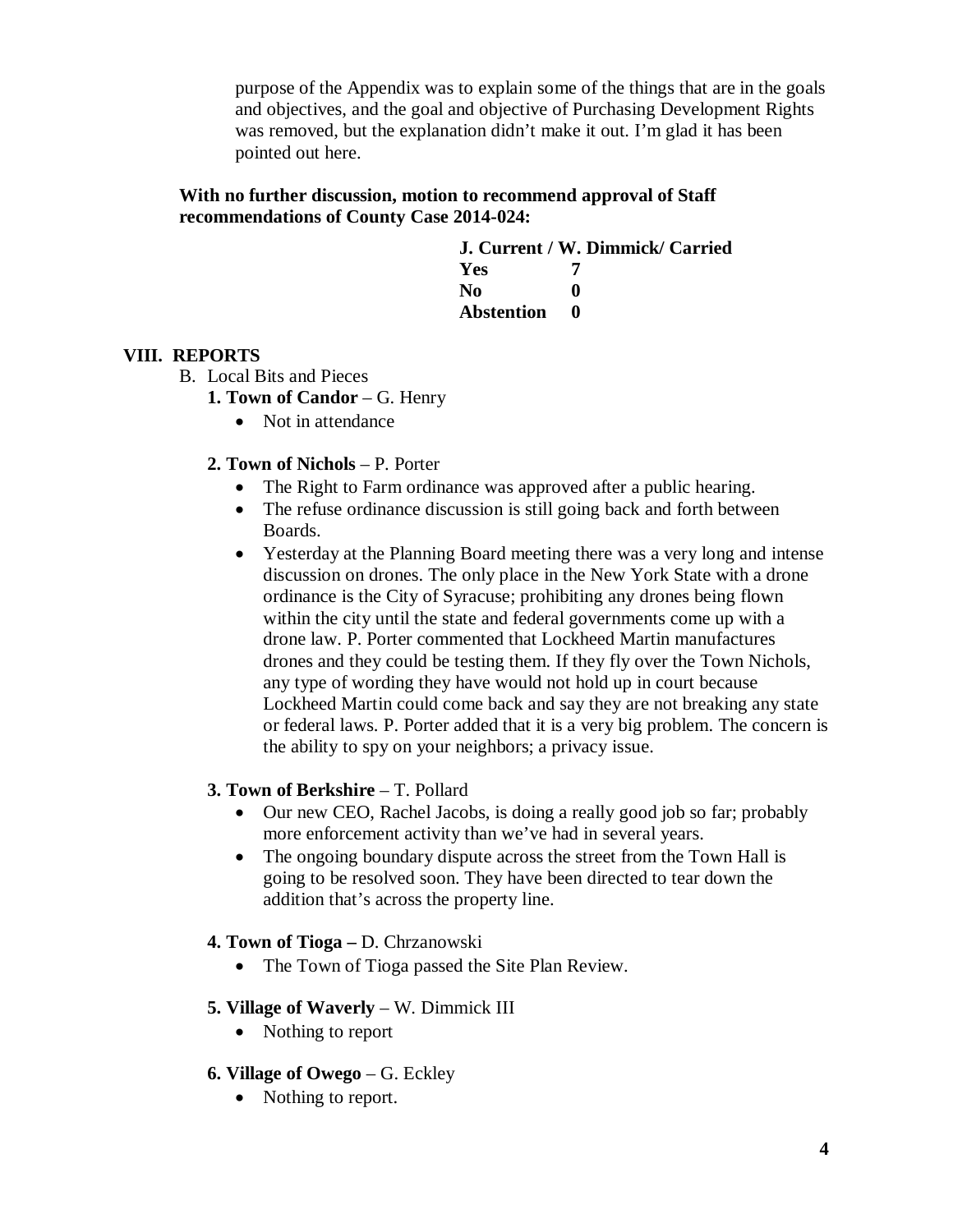purpose of the Appendix was to explain some of the things that are in the goals and objectives, and the goal and objective of Purchasing Development Rights was removed, but the explanation didn't make it out. I'm glad it has been pointed out here.

#### **With no further discussion, motion to recommend approval of Staff recommendations of County Case 2014-024:**

|                   | J. Current / W. Dimmick/ Carried |
|-------------------|----------------------------------|
| Yes               |                                  |
| No.               | o                                |
| <b>Abstention</b> | $\bullet$                        |

# **VIII. REPORTS**

- B. Local Bits and Pieces
	- **1. Town of Candor**  G. Henry
		- Not in attendance
	- **2. Town of Nichols**  P. Porter
		- The Right to Farm ordinance was approved after a public hearing.
		- The refuse ordinance discussion is still going back and forth between Boards.
		- Yesterday at the Planning Board meeting there was a very long and intense discussion on drones. The only place in the New York State with a drone ordinance is the City of Syracuse; prohibiting any drones being flown within the city until the state and federal governments come up with a drone law. P. Porter commented that Lockheed Martin manufactures drones and they could be testing them. If they fly over the Town Nichols, any type of wording they have would not hold up in court because Lockheed Martin could come back and say they are not breaking any state or federal laws. P. Porter added that it is a very big problem. The concern is the ability to spy on your neighbors; a privacy issue.

## **3. Town of Berkshire** – T. Pollard

- Our new CEO, Rachel Jacobs, is doing a really good job so far; probably more enforcement activity than we've had in several years.
- The ongoing boundary dispute across the street from the Town Hall is going to be resolved soon. They have been directed to tear down the addition that's across the property line.
- **4. Town of Tioga –** D. Chrzanowski
	- The Town of Tioga passed the Site Plan Review.

## **5. Village of Waverly** – W. Dimmick III

- Nothing to report
- **6. Village of Owego** G. Eckley
	- Nothing to report.